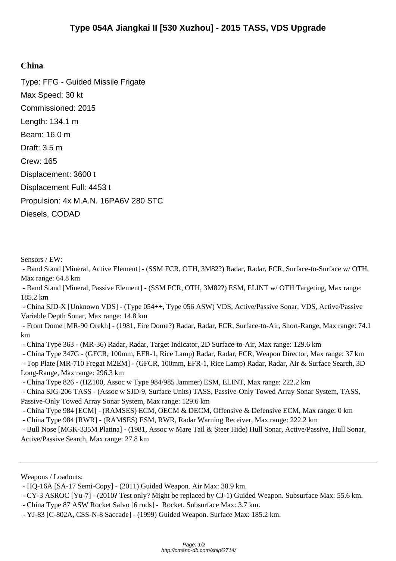## **China**

Type: FFG - Guided Missile Frigate Max Speed: 30 kt Commissioned: 2015 Length: 134.1 m Beam: 16.0 m Draft: 3.5 m Crew: 165 Displacement: 3600 t Displacement Full: 4453 t Propulsion: 4x M.A.N. 16PA6V 280 STC Diesels, CODAD

Sensors / EW:

 - Band Stand [Mineral, Active Element] - (SSM FCR, OTH, 3M82?) Radar, Radar, FCR, Surface-to-Surface w/ OTH, Max range: 64.8 km

 - Band Stand [Mineral, Passive Element] - (SSM FCR, OTH, 3M82?) ESM, ELINT w/ OTH Targeting, Max range: 185.2 km

 - China SJD-X [Unknown VDS] - (Type 054++, Type 056 ASW) VDS, Active/Passive Sonar, VDS, Active/Passive Variable Depth Sonar, Max range: 14.8 km

 - Front Dome [MR-90 Orekh] - (1981, Fire Dome?) Radar, Radar, FCR, Surface-to-Air, Short-Range, Max range: 74.1 km

- China Type 363 - (MR-36) Radar, Radar, Target Indicator, 2D Surface-to-Air, Max range: 129.6 km

- China Type 347G - (GFCR, 100mm, EFR-1, Rice Lamp) Radar, Radar, FCR, Weapon Director, Max range: 37 km

 - Top Plate [MR-710 Fregat M2EM] - (GFCR, 100mm, EFR-1, Rice Lamp) Radar, Radar, Air & Surface Search, 3D Long-Range, Max range: 296.3 km

- China Type 826 - (HZ100, Assoc w Type 984/985 Jammer) ESM, ELINT, Max range: 222.2 km

 - China SJG-206 TASS - (Assoc w SJD-9, Surface Units) TASS, Passive-Only Towed Array Sonar System, TASS, Passive-Only Towed Array Sonar System, Max range: 129.6 km

- China Type 984 [ECM] - (RAMSES) ECM, OECM & DECM, Offensive & Defensive ECM, Max range: 0 km

- China Type 984 [RWR] - (RAMSES) ESM, RWR, Radar Warning Receiver, Max range: 222.2 km

 - Bull Nose [MGK-335M Platina] - (1981, Assoc w Mare Tail & Steer Hide) Hull Sonar, Active/Passive, Hull Sonar, Active/Passive Search, Max range: 27.8 km

- China Type 87 ASW Rocket Salvo [6 rnds] - Rocket. Subsurface Max: 3.7 km.

Weapons / Loadouts:

 <sup>-</sup> HQ-16A [SA-17 Semi-Copy] - (2011) Guided Weapon. Air Max: 38.9 km.

 <sup>-</sup> CY-3 ASROC [Yu-7] - (2010? Test only? Might be replaced by CJ-1) Guided Weapon. Subsurface Max: 55.6 km.

 <sup>-</sup> YJ-83 [C-802A, CSS-N-8 Saccade] - (1999) Guided Weapon. Surface Max: 185.2 km.